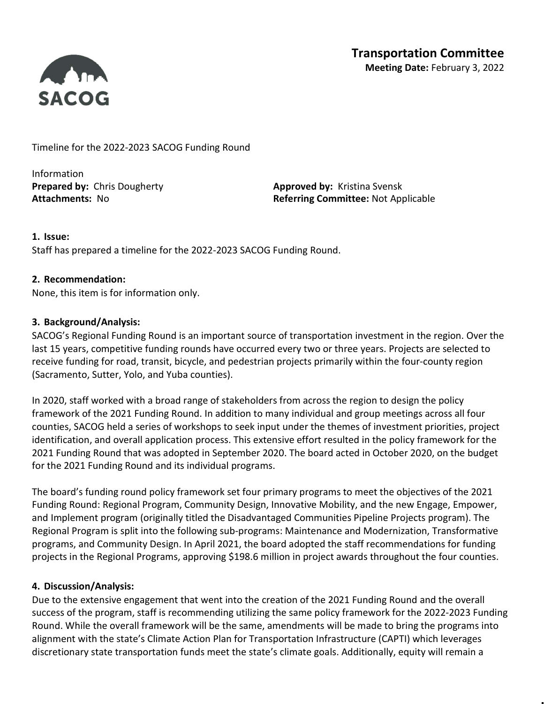

Timeline for the 2022-2023 SACOG Funding Round

Information **Prepared by:** Chris Dougherty **Approved by:** Kristina Svensk

Attachments: No **Referring Committee: Not Applicable** 

## 1. Issue:

Staff has prepared a timeline for the 2022-2023 SACOG Funding Round.

#### 2. Recommendation:

None, this item is for information only.

## 3. Background/Analysis:

SACOG's Regional Funding Round is an important source of transportation investment in the region. Over the last 15 years, competitive funding rounds have occurred every two or three years. Projects are selected to receive funding for road, transit, bicycle, and pedestrian projects primarily within the four-county region (Sacramento, Sutter, Yolo, and Yuba counties).

In 2020, staff worked with a broad range of stakeholders from across the region to design the policy framework of the 2021 Funding Round. In addition to many individual and group meetings across all four counties, SACOG held a series of workshops to seek input under the themes of investment priorities, project identification, and overall application process. This extensive effort resulted in the policy framework for the 2021 Funding Round that was adopted in September 2020. The board acted in October 2020, on the budget for the 2021 Funding Round and its individual programs.

The board's funding round policy framework set four primary programs to meet the objectives of the 2021 Funding Round: Regional Program, Community Design, Innovative Mobility, and the new Engage, Empower, and Implement program (originally titled the Disadvantaged Communities Pipeline Projects program). The Regional Program is split into the following sub-programs: Maintenance and Modernization, Transformative programs, and Community Design. In April 2021, the board adopted the staff recommendations for funding projects in the Regional Programs, approving \$198.6 million in project awards throughout the four counties.

#### 4. Discussion/Analysis:

Due to the extensive engagement that went into the creation of the 2021 Funding Round and the overall success of the program, staff is recommending utilizing the same policy framework for the 2022-2023 Funding Round. While the overall framework will be the same, amendments will be made to bring the programs into alignment with the state's Climate Action Plan for Transportation Infrastructure (CAPTI) which leverages discretionary state transportation funds meet the state's climate goals. Additionally, equity will remain a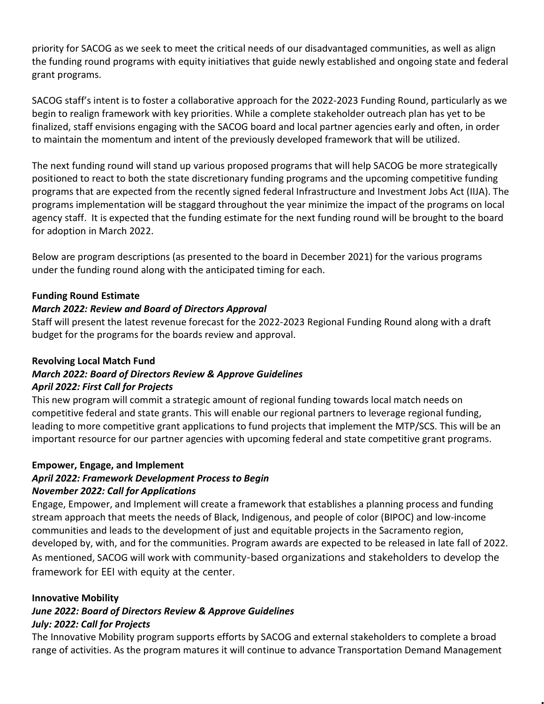priority for SACOG as we seek to meet the critical needs of our disadvantaged communities, as well as align the funding round programs with equity initiatives that guide newly established and ongoing state and federal grant programs.

SACOG staff's intent is to foster a collaborative approach for the 2022-2023 Funding Round, particularly as we begin to realign framework with key priorities. While a complete stakeholder outreach plan has yet to be finalized, staff envisions engaging with the SACOG board and local partner agencies early and often, in order to maintain the momentum and intent of the previously developed framework that will be utilized.

The next funding round will stand up various proposed programs that will help SACOG be more strategically positioned to react to both the state discretionary funding programs and the upcoming competitive funding programs that are expected from the recently signed federal Infrastructure and Investment Jobs Act (IIJA). The programs implementation will be staggard throughout the year minimize the impact of the programs on local agency staff. It is expected that the funding estimate for the next funding round will be brought to the board for adoption in March 2022.

Below are program descriptions (as presented to the board in December 2021) for the various programs under the funding round along with the anticipated timing for each.

# Funding Round Estimate

# March 2022: Review and Board of Directors Approval

Staff will present the latest revenue forecast for the 2022-2023 Regional Funding Round along with a draft budget for the programs for the boards review and approval.

# Revolving Local Match Fund

# March 2022: Board of Directors Review & Approve Guidelines April 2022: First Call for Projects

This new program will commit a strategic amount of regional funding towards local match needs on competitive federal and state grants. This will enable our regional partners to leverage regional funding, leading to more competitive grant applications to fund projects that implement the MTP/SCS. This will be an important resource for our partner agencies with upcoming federal and state competitive grant programs.

#### Empower, Engage, and Implement April 2022: Framework Development Process to Begin

# November 2022: Call for Applications

Engage, Empower, and Implement will create a framework that establishes a planning process and funding stream approach that meets the needs of Black, Indigenous, and people of color (BIPOC) and low-income communities and leads to the development of just and equitable projects in the Sacramento region, developed by, with, and for the communities. Program awards are expected to be released in late fall of 2022. As mentioned, SACOG will work with community-based organizations and stakeholders to develop the framework for EEI with equity at the center.

# Innovative Mobility

# June 2022: Board of Directors Review & Approve Guidelines July: 2022: Call for Projects

The Innovative Mobility program supports efforts by SACOG and external stakeholders to complete a broad range of activities. As the program matures it will continue to advance Transportation Demand Management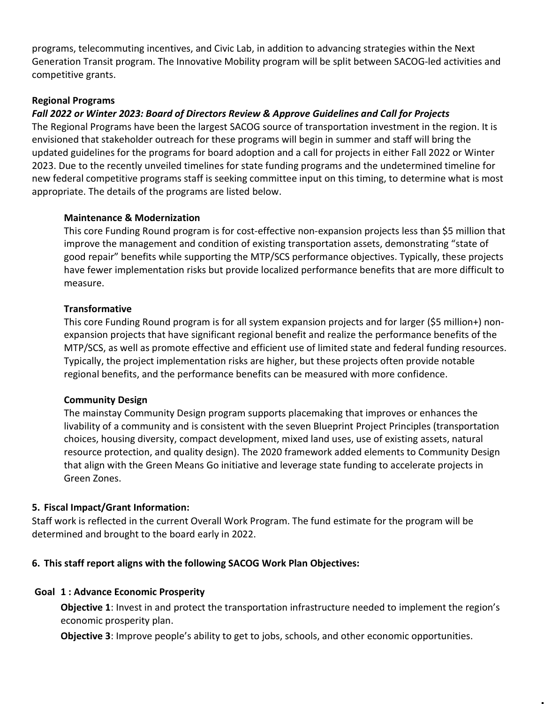programs, telecommuting incentives, and Civic Lab, in addition to advancing strategies within the Next Generation Transit program. The Innovative Mobility program will be split between SACOG-led activities and competitive grants.

## Regional Programs

# Fall 2022 or Winter 2023: Board of Directors Review & Approve Guidelines and Call for Projects

The Regional Programs have been the largest SACOG source of transportation investment in the region. It is envisioned that stakeholder outreach for these programs will begin in summer and staff will bring the updated guidelines for the programs for board adoption and a call for projects in either Fall 2022 or Winter 2023. Due to the recently unveiled timelines for state funding programs and the undetermined timeline for new federal competitive programs staff is seeking committee input on this timing, to determine what is most appropriate. The details of the programs are listed below.

#### Maintenance & Modernization

This core Funding Round program is for cost-effective non-expansion projects less than \$5 million that improve the management and condition of existing transportation assets, demonstrating "state of good repair" benefits while supporting the MTP/SCS performance objectives. Typically, these projects have fewer implementation risks but provide localized performance benefits that are more difficult to measure.

#### **Transformative**

This core Funding Round program is for all system expansion projects and for larger (\$5 million+) nonexpansion projects that have significant regional benefit and realize the performance benefits of the MTP/SCS, as well as promote effective and efficient use of limited state and federal funding resources. Typically, the project implementation risks are higher, but these projects often provide notable regional benefits, and the performance benefits can be measured with more confidence.

#### Community Design

The mainstay Community Design program supports placemaking that improves or enhances the livability of a community and is consistent with the seven Blueprint Project Principles (transportation choices, housing diversity, compact development, mixed land uses, use of existing assets, natural resource protection, and quality design). The 2020 framework added elements to Community Design that align with the Green Means Go initiative and leverage state funding to accelerate projects in Green Zones.

#### 5. Fiscal Impact/Grant Information:

Staff work is reflected in the current Overall Work Program. The fund estimate for the program will be determined and brought to the board early in 2022.

#### 6. This staff report aligns with the following SACOG Work Plan Objectives:

#### Goal 1 : Advance Economic Prosperity

**Objective 1:** Invest in and protect the transportation infrastructure needed to implement the region's economic prosperity plan.

**Objective 3:** Improve people's ability to get to jobs, schools, and other economic opportunities.